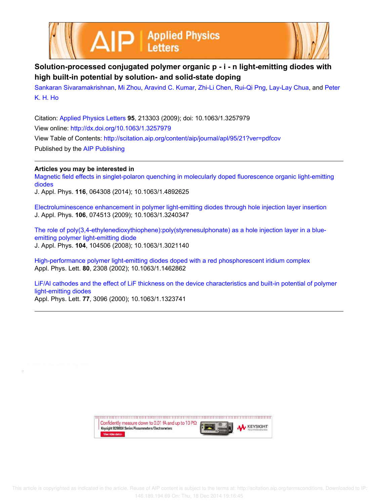AIP | Applied Physics



## **Solution-processed conjugated polymer organic p - i - n light-emitting diodes with high built-in potential by solution- and solid-state doping**

Sankaran Sivaramakrishnan, Mi Zhou, Aravind C. Kumar, Zhi-Li Chen, Rui-Qi Png, Lay-Lay Chua, and Peter K. H. Ho

Citation: Applied Physics Letters **95**, 213303 (2009); doi: 10.1063/1.3257979 View online: http://dx.doi.org/10.1063/1.3257979 View Table of Contents: http://scitation.aip.org/content/aip/journal/apl/95/21?ver=pdfcov Published by the AIP Publishing

## **Articles you may be interested in**

Magnetic field effects in singlet-polaron quenching in molecularly doped fluorescence organic light-emitting diodes

J. Appl. Phys. **116**, 064308 (2014); 10.1063/1.4892625

Electroluminescence enhancement in polymer light-emitting diodes through hole injection layer insertion J. Appl. Phys. **106**, 074513 (2009); 10.1063/1.3240347

The role of poly(3,4-ethylenedioxythiophene):poly(styrenesulphonate) as a hole injection layer in a blueemitting polymer light-emitting diode J. Appl. Phys. **104**, 104506 (2008); 10.1063/1.3021140

High-performance polymer light-emitting diodes doped with a red phosphorescent iridium complex Appl. Phys. Lett. **80**, 2308 (2002); 10.1063/1.1462862

LiF/Al cathodes and the effect of LiF thickness on the device characteristics and built-in potential of polymer light-emitting diodes

Appl. Phys. Lett. **77**, 3096 (2000); 10.1063/1.1323741

upun manan manan manan manan manan manan manan manan manan manan Confidently measure down to 0.01 fA and up to 10 P $\Omega$ **KEYSIGHT** Keysight B2980A Series Picoammeters/Electrometers View video demo>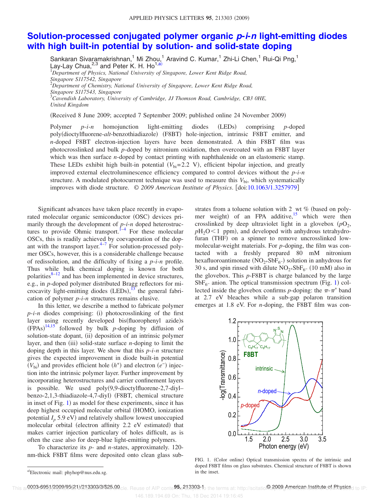## **Solution-processed conjugated polymer organic p-i-n light-emitting diodes with high built-in potential by solution- and solid-state doping**

Sankaran Sivaramakrishnan,<sup>1</sup> Mi Zhou,<sup>1</sup> Aravind C. Kumar,<sup>1</sup> Zhi-Li Chen,<sup>1</sup> Rui-Qi Png,<sup>1</sup> Lay-Lay Chua,  $2,3$  and Peter K. H. Ho<sup>1,a)</sup> <sup>1</sup>*Department of Physics, National University of Singapore, Lower Kent Ridge Road, Singapore S117542, Singapore*

<sup>2</sup>*Department of Chemistry, National University of Singapore, Lower Kent Ridge Road,*

<sup>3</sup>*Cavendish Laboratory, University of Cambridge, JJ Thomson Road, Cambridge, CB3 0HE,*

*United Kingdom*

(Received 8 June 2009; accepted 7 September 2009; published online 24 November 2009)

Polymer *p*-*i*-*n* homojunction light-emitting diodes (LEDs) comprising *p*-doped poly(dioctylfluorene-alt-benzothiadiazole) (F8BT) hole-injection, intrinsic F8BT emitter, and *n*-doped F8BT electron-injection layers have been demonstrated. A thin F8BT film was photocrosslinked and bulk *p*-doped by nitronium oxidation, then overcoated with an F8BT layer which was then surface *n*-doped by contact printing with naphthalenide on an elastomeric stamp. These LEDs exhibit high built-in potential  $(V_{bi}=2.2 \text{ V})$ , efficient bipolar injection, and greatly improved external electroluminescence efficiency compared to control devices without the *p*-*i*-*n* structure. A modulated photocurrent technique was used to measure this  $V_{\rm bi}$ , which systematically improves with diode structure. © *2009 American Institute of Physics*. doi:10.1063/1.3257979

Significant advances have taken place recently in evaporated molecular organic semiconductor (OSC) devices primarily through the development of *p*-*i*-*n* doped heterostructures to provide Ohmic transport.  $\int_{0}^{1-4}$  For these molecular OSCs, this is readily achieved by coevaporation of the dopant with the transport layer. $4-7$  For solution-processed polymer OSCs, however, this is a considerable challenge because of redissolution, and the difficulty of fixing a *p*-*i*-*n* profile. Thus while bulk chemical doping is known for both polarities $8-12$  and has been implemented in device structures, e.g., in *p*-doped polymer distributed Bragg reflectors for microcavity light-emitting diodes  $(LEDs)$ ,<sup>13</sup> the general fabrication of polymer *p*-*i*-*n* structures remains elusive.

In this letter, we describe a method to fabricate polymer  $p$ -*i*- $n$  diodes comprising: (i) photocrosslinking of the first layer using recently developed bis(fluorophenyl azide)s  $(FPAs)^{14,15}$  followed by bulk *p*-doping by diffusion of solution-state dopant, (ii) deposition of an intrinsic polymer layer, and then (iii) solid-state surface *n*-doping to limit the doping depth in this layer. We show that this *p*-*i*-*n* structure gives the expected improvement in diode built-in potential  $(V<sub>bi</sub>)$  and provides efficient hole  $(h<sup>+</sup>)$  and electron  $(e<sup>-</sup>)$  injection into the intrinsic polymer layer. Further improvement by incorporating heterostructures and carrier confinement layers is possible. We used  $poly(9,9\text{-}\text{dioctylfluorene-}2,7\text{-}\text{divl}$ benzo-2,1,3-thiadiazole-4,7-diyl) (F8BT, chemical structure in inset of Fig. 1) as model for these experiments, since it has deep highest occupied molecular orbital (HOMO, ionization potential  $I_p$  5.9 eV) and relatively shallow lowest unoccupied molecular orbital (electron affinity 2.2 eV estimated) that makes carrier injection particulary of holes difficult, as is often the case also for deep-blue light-emitting polymers.

To characterize its *p*- and *n*-states, approximately. 120 nm-thick F8BT films were deposited onto clean glass substrates from a toluene solution with 2 wt % (based on polymer weight) of an FPA additive,<sup>15</sup> which were then crosslinked by deep ultraviolet light in a glovebox  $(pO_2)$ ,  $pH_2O<1$  ppm), and developed with anhydrous tetrahydrofuran (THF) on a spinner to remove uncrosslinked lowmolecular-weight materials. For *p*-doping, the film was contacted with a freshly prepared 80 mM nitronium hexafluoroantimonate  $(NO<sub>2</sub>+SbF<sub>6</sub>-)$  solution in anhydrous for 30 s, and spin rinsed with dilute  $NO<sub>2</sub>+SbF<sub>6</sub>$  (10 mM) also in the glovebox. This *p*-F8BT is charge balanced by the large  $SbF_{6}$ - anion. The optical transmission spectrum (Fig. 1) collected inside the glovebox confirms *p*-doping: the  $\pi$ - $\pi$ <sup>\*</sup> band at 2.7 eV bleaches while a sub-gap polaron transition emerges at 1.8 eV. For *n*-doping, the F8BT film was con-



FIG. 1. (Color online) Optical transmission spectra of the intrinsic and doped F8BT films on glass substrates. Chemical structure of F8BT is shown in the inset.

*Singapore S117543, Singapore*

a)Electronic mail: phyhop@nus.edu.sg.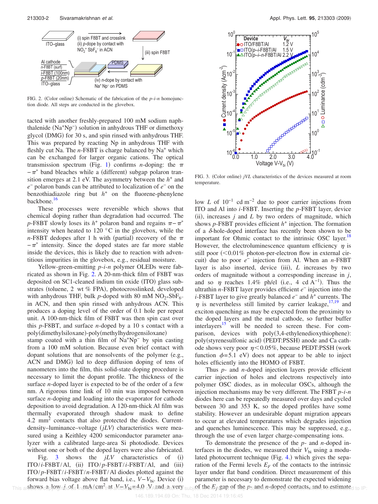

FIG. 2. (Color online) Schematic of the fabrication of the *p*-*i*-*n* homojunction diode. All steps are conducted in the glovebox.

tacted with another freshly-prepared 100 mM sodium naphthalenide (Na<sup>+</sup>Np<sup>-</sup>) solution in anhydrous THF or dimethoxy glycol (DMG) for 30 s, and spin rinsed with anhydrous THF. This was prepared by reacting Np in anhydrous THF with fleshly cut Na. The *n*-F8BT is charge balanced by Na<sup>+</sup> which can be exchanged for larger organic cations. The optical transmission spectrum (Fig. 1) confirms *n*-doping: the  $\pi$  $-\pi^*$  band bleaches while a (different) subgap polaron transition emerges at 2.1 eV. The asymmetry between the  $h<sup>+</sup>$  and *e* − polaron bands can be attributed to localization of *e* − on the benzothiadiazole ring but  $h<sup>+</sup>$  on the fluorene-phenylene backbone.<sup>16</sup>

These processes were reversible which shows that chemical doping rather than degradation had occurred. The  $p$ -F8BT slowly loses its  $h^+$  polaron band and regains  $\pi - \pi^*$ intensity when heated to 120 °C in the glovebox, while the *n*-F8BT dedopes after 1 h with (partial) recovery of the  $\pi$  $-\pi^*$  intensity. Since the doped states are far more stable inside the devices, this is likely due to reaction with adventitious impurities in the glovebox, e.g., residual moisture.

Yellow-green-emitting *p*-*i*-*n* polymer OLEDs were fabricated as shown in Fig. 2. A 20-nm-thick film of F8BT was deposited on SC1-cleaned indium tin oxide (ITO) glass substrates (toluene, 2 wt % FPA), photocrosslinked, developed with anhydrous THF, bulk p-doped with 80 mM  $NO<sub>2</sub>+SbF<sub>6</sub>$ in ACN, and then spin rinsed with anhydrous ACN. This produces a doping level of the order of 0.1 hole per repeat unit. A 100-nm-thick film of F8BT was then spin cast over this *p*-F8BT, and surface *n*-doped by a 10 s contact with a poly(dimethylsiloxane)-poly(methylhydrogensiloxane)

stamp coated with a thin film of Na<sup>+</sup>Np<sup>−</sup> by spin casting from a 100 mM solution. Because even brief contact with dopant solutions that are nonsolvents of the polymer  $(e.g.,)$ ACN and DMG) led to deep diffusion doping of tens of nanometers into the film, this solid-state doping procedure is necessary to limit the dopant profile. The thickness of the surface *n*-doped layer is expected to be of the order of a few nm. A rigorous time link of 10 min was imposed between surface *n*-doping and loading into the evaporator for cathode deposition to avoid degradation. A 120-nm-thick Al film was thermally evaporated through shadow mask to define 4.2 mm<sup>2</sup> contacts that also protected the diodes. Currentdensity-luminance-voltage (jLV) characteristics were measured using a Keithley 4200 semiconductor parameter analyzer with a calibrated large-area Si photodiode. Devices without one or both of the doped layers were also fabricated.

Fig.  $3$  shows the  $jLV$  characteristics of (i)  $ITO/i-F8BT/A1$ , (ii)  $ITO/p-F8BT/i-F8BT/A1$ , and (iii) ITO/ *p*-F8BT/*i*-F8BT/*n*-F8BT/Al diodes plotted against the forward bias voltage above flat band, i.e., *V*−*V*<sub>bi</sub>. Device (i) This are bows caplown to of s1n mA/cm<sup>2</sup>th at alim V<sub>bi</sub> eds0 N and catevery subject the E<sub>f</sub> cap of the p<sub>s</sub> and n-doped contacts, and to estimated to IP:



FIG. 3. (Color online) jVL characteristics of the devices measured at room temperature.

low *L* of 10−1 cd m−2 due to poor carrier injections from ITO and Al into *i*-F8BT. Inserting the *p*-F8BT layer, device (ii), increases  $j$  and  $L$  by two orders of magnitude, which shows  $p$ -F8BT provides efficient  $h^+$  injection. The formation of a  $\delta$ -hole-doped interface has recently been shown to be important for Ohmic contact to the intrinsic OSC layer.<sup>18</sup> However, the electroluminescence quantum efficiency  $\eta$  is still poor  $\left($  < 0.01% photon-per-electron flow in external circuit) due to poor  $e^-$  injection from Al. When an *n*-F8BT layer is also inserted, device (iii), *L* increases by two orders of magnitude without a corresponding increase in *j*, and so  $\eta$  reaches 1.4% ph/el (i.e., 4 cd A<sup>-1</sup>). Thus the ultrathin *n*-F8BT layer provides efficient *e*<sup>−</sup> injection into the *i*-F8BT layer to give greatly balanced  $e^-$  and  $h^+$  currents. The  $\eta$  is nevertheless still limited by carrier leakage,  $17,19$  and exciton quenching as may be expected from the proximity to the doped layers and the metal cathode, so further buffer  $interlayers<sup>15</sup>$  will be needed to screen these. For comparison, devices with poly(3,4-ethylenedioxythiophene): poly(styrenesulfonic acid) (PEDT:PSSH) anode and Ca cathode shows very poor  $\eta$ <0.05%, because PEDT:PSSH (work function  $\phi = 5.1$  eV) does not appear to be able to inject holes efficiently into the HOMO of F8BT.

Thus *p*- and *n*-doped injection layers provide efficient carrier injection of holes and electrons respectively into polymer OSC diodes, as in molecular OSCs, although the injection mechanisms may be very different. The F8BT *p*-*i*-*n* diodes here can be repeatedly measured over days and cycled between 30 and 353 K, so the doped profiles have some stability. However an undesirable dopant migration appears to occur at elevated temperatures which degrades injection and quenches luminescence. This may be suppressed, e.g., through the use of even larger charge-compensating ions.

To demonstrate the presence of the *p*- and *n*-doped interfaces in the diodes, we measured their  $V_{\rm bi}$  using a modulated photocurrent technique (Fig. 4.) which gives the separation of the Fermi levels  $E_F$  of the contacts to the intrinsic layer under flat band condition. Direct measurement of this parameter is necessary to demonstrate the expected widening of the  $E_f$  gap of the  $p_S$  and *n*-doped contacts, and to estimated to  $\vert P \vert$